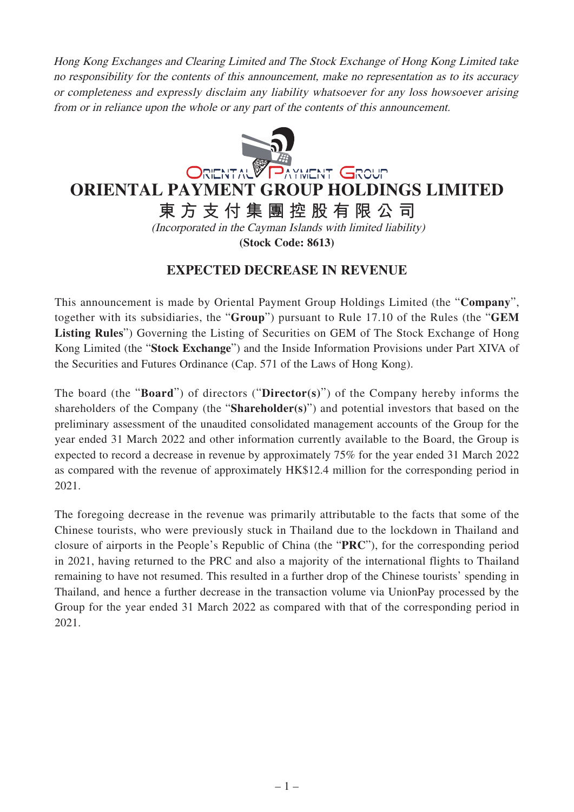Hong Kong Exchanges and Clearing Limited and The Stock Exchange of Hong Kong Limited take no responsibility for the contents of this announcement, make no representation as to its accuracy or completeness and expressly disclaim any liability whatsoever for any loss howsoever arising from or in reliance upon the whole or any part of the contents of this announcement.



## **ORIENTAL PAYMENT GROUP HOLDINGS LIMITED**

**東方支付集團控股有限公司**

(Incorporated in the Cayman Islands with limited liability) **(Stock Code: 8613)**

## **EXPECTED DECREASE IN REVENUE**

This announcement is made by Oriental Payment Group Holdings Limited (the "**Company**", together with its subsidiaries, the "**Group**") pursuant to Rule 17.10 of the Rules (the "**GEM Listing Rules**") Governing the Listing of Securities on GEM of The Stock Exchange of Hong Kong Limited (the "**Stock Exchange**") and the Inside Information Provisions under Part XIVA of the Securities and Futures Ordinance (Cap. 571 of the Laws of Hong Kong).

The board (the "**Board**") of directors ("**Director(s)**") of the Company hereby informs the shareholders of the Company (the "**Shareholder(s)**") and potential investors that based on the preliminary assessment of the unaudited consolidated management accounts of the Group for the year ended 31 March 2022 and other information currently available to the Board, the Group is expected to record a decrease in revenue by approximately 75% for the year ended 31 March 2022 as compared with the revenue of approximately HK\$12.4 million for the corresponding period in 2021.

The foregoing decrease in the revenue was primarily attributable to the facts that some of the Chinese tourists, who were previously stuck in Thailand due to the lockdown in Thailand and closure of airports in the People's Republic of China (the "**PRC**"), for the corresponding period in 2021, having returned to the PRC and also a majority of the international flights to Thailand remaining to have not resumed. This resulted in a further drop of the Chinese tourists' spending in Thailand, and hence a further decrease in the transaction volume via UnionPay processed by the Group for the year ended 31 March 2022 as compared with that of the corresponding period in 2021.